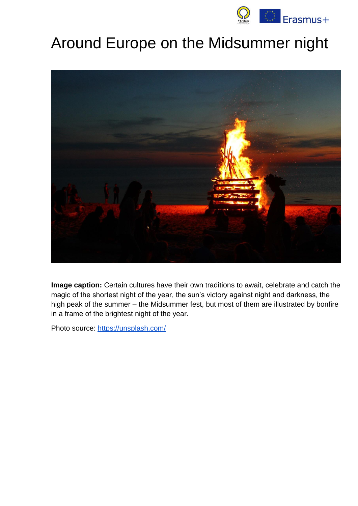

# Around Europe on the Midsummer night



**Image caption:** Certain cultures have their own traditions to await, celebrate and catch the magic of the shortest night of the year, the sun's victory against night and darkness, the high peak of the summer – the Midsummer fest, but most of them are illustrated by bonfire in a frame of the brightest night of the year.

Photo source:<https://unsplash.com/>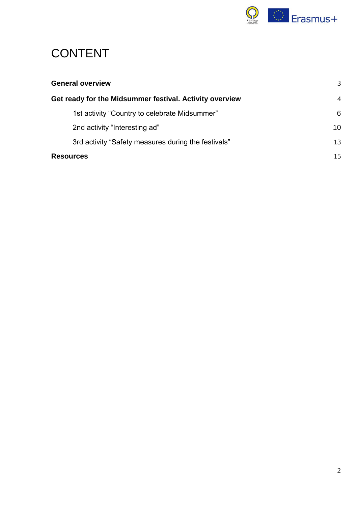

# CONTENT

| <b>General overview</b>                                 | 3              |
|---------------------------------------------------------|----------------|
| Get ready for the Midsummer festival. Activity overview | $\overline{4}$ |
| 1st activity "Country to celebrate Midsummer"           | 6              |
| 2nd activity "Interesting ad"                           | 10             |
| 3rd activity "Safety measures during the festivals"     | 13             |
| <b>Resources</b>                                        | 15             |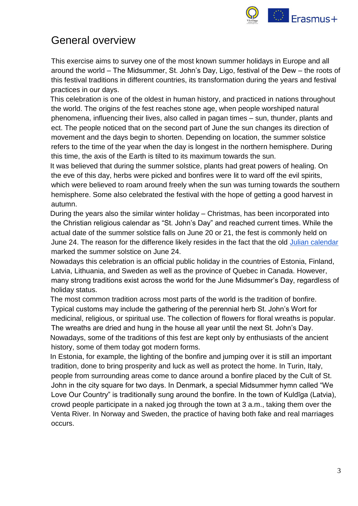

# <span id="page-2-0"></span>General overview

This exercise aims to survey one of the most known summer holidays in Europe and all around the world – The Midsummer, St. John's Day, Ligo, festival of the Dew – the roots of this festival traditions in different countries, its transformation during the years and festival practices in our days.

This celebration is one of the oldest in human history, and practiced in nations throughout the world. The origins of the fest reaches stone age, when people worshiped natural phenomena, influencing their lives, also called in pagan times – sun, thunder, plants and ect. The people noticed that on the second part of June the sun changes its direction of movement and the days begin to shorten. Depending on location, the summer solstice refers to the time of the year when the day is longest in the northern hemisphere. During this time, the axis of the Earth is tilted to its maximum towards the sun.

It was believed that during the summer solstice, plants had great powers of healing. On the eve of this day, herbs were picked and bonfires were lit to ward off the evil spirits, which were believed to roam around freely when the sun was turning towards the southern hemisphere. Some also celebrated the festival with the hope of getting a good harvest in autumn.

During the years also the similar winter holiday – Christmas, has been incorporated into the Christian religious calendar as "St. John's Day" and reached current times. While the actual date of the summer solstice falls on June 20 or 21, the fest is commonly held on June 24. The reason for the difference likely resides in the fact that the old [Julian calendar](https://www.britannica.com/science/Julian-calendar) marked the summer solstice on June 24.

Nowadays this celebration is an official public holiday in the countries of Estonia, Finland, Latvia, Lithuania, and Sweden as well as the province of Quebec in Canada. However, many strong traditions exist across the world for the June Midsummer's Day, regardless of holiday status.

The most common tradition across most parts of the world is the tradition of bonfire. Typical customs may include the gathering of the perennial herb St. John's Wort for medicinal, religious, or spiritual use. The collection of flowers for floral wreaths is popular. The wreaths are dried and hung in the house all year until the next St. John's Day. Nowadays, some of the traditions of this fest are kept only by enthusiasts of the ancient history, some of them today got modern forms.

In Estonia, for example, the lighting of the bonfire and jumping over it is still an important tradition, done to bring prosperity and luck as well as protect the home. In Turin, Italy, people from surrounding areas come to dance around a bonfire placed by the Cult of St. John in the city square for two days. In Denmark, a special Midsummer hymn called "We Love Our Country" is traditionally sung around the bonfire. In the town of Kuldīga (Latvia), crowd people participate in a naked jog through the town at 3 a.m., taking them over the Venta River. In Norway and Sweden, the practice of having both fake and real marriages occurs.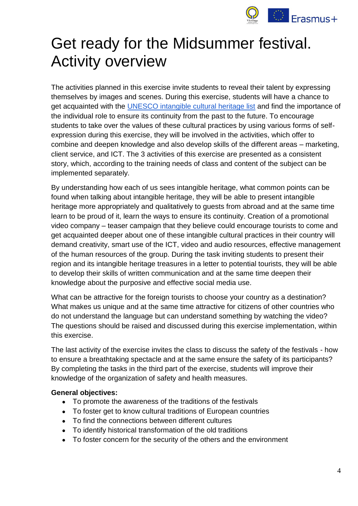

# <span id="page-3-0"></span>Get ready for the Midsummer festival. Activity overview

The activities planned in this exercise invite students to reveal their talent by expressing themselves by images and scenes. During this exercise, students will have a chance to get acquainted with the [UNESCO intangible cultural heritage list](https://ich.unesco.org/en/lists) and find the importance of the individual role to ensure its continuity from the past to the future. To encourage students to take over the values of these cultural practices by using various forms of selfexpression during this exercise, they will be involved in the activities, which offer to combine and deepen knowledge and also develop skills of the different areas – marketing, client service, and ICT. The 3 activities of this exercise are presented as a consistent story, which, according to the training needs of class and content of the subject can be implemented separately.

By understanding how each of us sees intangible heritage, what common points can be found when talking about intangible heritage, they will be able to present intangible heritage more appropriately and qualitatively to guests from abroad and at the same time learn to be proud of it, learn the ways to ensure its continuity. Creation of a promotional video company – teaser campaign that they believe could encourage tourists to come and get acquainted deeper about one of these intangible cultural practices in their country will demand creativity, smart use of the ICT, video and audio resources, effective management of the human resources of the group. During the task inviting students to present their region and its intangible heritage treasures in a letter to potential tourists, they will be able to develop their skills of written communication and at the same time deepen their knowledge about the purposive and effective social media use.

What can be attractive for the foreign tourists to choose your country as a destination? What makes us unique and at the same time attractive for citizens of other countries who do not understand the language but can understand something by watching the video? The questions should be raised and discussed during this exercise implementation, within this exercise.

The last activity of the exercise invites the class to discuss the safety of the festivals - how to ensure a breathtaking spectacle and at the same ensure the safety of its participants? By completing the tasks in the third part of the exercise, students will improve their knowledge of the organization of safety and health measures.

#### **General objectives:**

- To promote the awareness of the traditions of the festivals
- To foster get to know cultural traditions of European countries
- To find the connections between different cultures
- To identify historical transformation of the old traditions
- To foster concern for the security of the others and the environment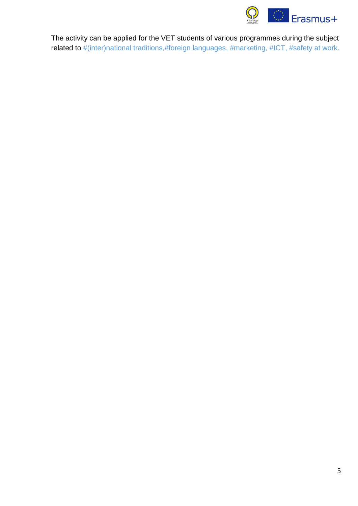

The activity can be applied for the VET students of various programmes during the subject related to #(inter)national traditions,#foreign languages, #marketing, #ICT, #safety at work.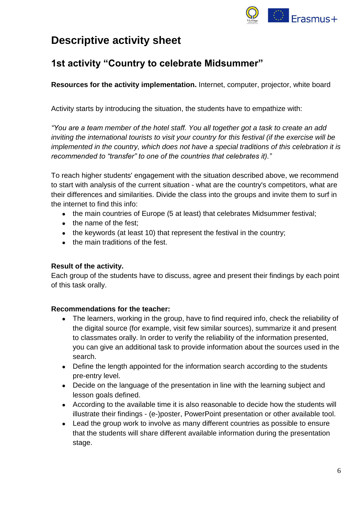

# **Descriptive activity sheet**

## <span id="page-5-0"></span>**1st activity "Country to celebrate Midsummer"**

**Resources for the activity implementation.** Internet, computer, projector, white board

Activity starts by introducing the situation, the students have to empathize with:

*"You are a team member of the hotel staff. You all together got a task to create an add inviting the international tourists to visit your country for this festival (if the exercise will be implemented in the country, which does not have a special traditions of this celebration it is recommended to "transfer" to one of the countries that celebrates it)."*

To reach higher students' engagement with the situation described above, we recommend to start with analysis of the current situation - what are the country's competitors, what are their differences and similarities. Divide the class into the groups and invite them to surf in the internet to find this info:

- the main countries of Europe (5 at least) that celebrates Midsummer festival;
- the name of the fest;
- $\bullet$  the keywords (at least 10) that represent the festival in the country;
- the main traditions of the fest.

#### **Result of the activity.**

Each group of the students have to discuss, agree and present their findings by each point of this task orally.

#### **Recommendations for the teacher:**

- The learners, working in the group, have to find required info, check the reliability of the digital source (for example, visit few similar sources), summarize it and present to classmates orally. In order to verify the reliability of the information presented, you can give an additional task to provide information about the sources used in the search.
- Define the length appointed for the information search according to the students pre-entry level.
- Decide on the language of the presentation in line with the learning subject and lesson goals defined.
- According to the available time it is also reasonable to decide how the students will illustrate their findings - (e-)poster, PowerPoint presentation or other available tool.
- Lead the group work to involve as many different countries as possible to ensure that the students will share different available information during the presentation stage.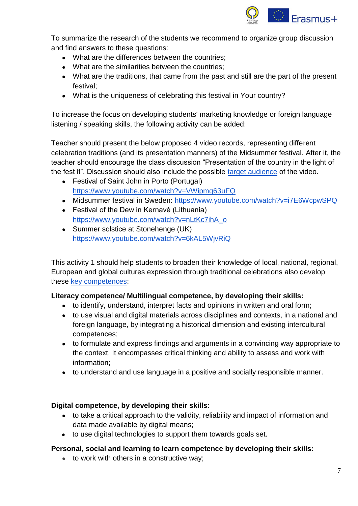

To summarize the research of the students we recommend to organize group discussion and find answers to these questions:

- What are the differences between the countries:
- What are the similarities between the countries;
- What are the traditions, that came from the past and still are the part of the present festival;
- What is the uniqueness of celebrating this festival in Your country?

To increase the focus on developing students' marketing knowledge or foreign language listening / speaking skills, the following activity can be added:

Teacher should present the below proposed 4 video records, representing different celebration traditions (and its presentation manners) of the Midsummer festival. After it, the teacher should encourage the class discussion "Presentation of the country in the light of the fest it". Discussion should also include the possible [target audience](https://dictionary.cambridge.org/dictionary/english/target-audience) of the video.

- Festival of Saint John in Porto (Portugal) <https://www.youtube.com/watch?v=VWipmq63uFQ>
- Midsummer festival in Sweden: <https://www.youtube.com/watch?v=i7E6WcpwSPQ>
- Festival of the Dew in Kernavė (Lithuania) [https://www.youtube.com/watch?v=nLtKc7ihA\\_o](https://www.youtube.com/watch?v=nLtKc7ihA_o)
- Summer solstice at Stonehenge (UK) <https://www.youtube.com/watch?v=6kAL5WjvRiQ>

This activity 1 should help students to broaden their knowledge of local, national, regional, European and global cultures expression through traditional celebrations also develop these [key competences:](https://eur-lex.europa.eu/legal-content/EN/TXT/?uri=uriserv:OJ.C_.2018.189.01.0001.01.ENG)

#### **Literacy competence/ Multilingual competence, by developing their skills:**

- to identify, understand, interpret facts and opinions in written and oral form;
- to use visual and digital materials across disciplines and contexts, in a national and foreign language, by integrating a historical dimension and existing intercultural competences;
- to formulate and express findings and arguments in a convincing way appropriate to the context. It encompasses critical thinking and ability to assess and work with information;
- to understand and use language in a positive and socially responsible manner.

#### **Digital competence, by developing their skills:**

- to take a critical approach to the validity, reliability and impact of information and data made available by digital means;
- to use digital technologies to support them towards goals set.

#### **Personal, social and learning to learn competence by developing their skills:**

● to work with others in a constructive way;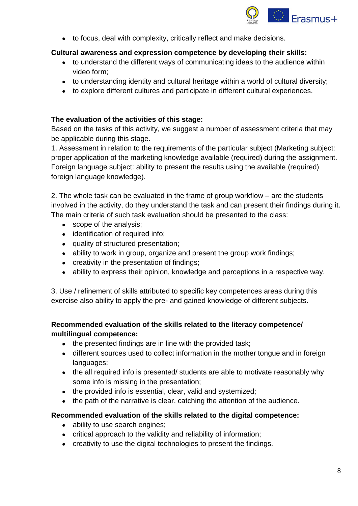

● to focus, deal with complexity, critically reflect and make decisions.

#### **Cultural awareness and expression competence by developing their skills:**

- to understand the different ways of communicating ideas to the audience within video form;
- to understanding identity and cultural heritage within a world of cultural diversity;
- to explore different cultures and participate in different cultural experiences.

#### **The evaluation of the activities of this stage:**

Based on the tasks of this activity, we suggest a number of assessment criteria that may be applicable during this stage.

1. Assessment in relation to the requirements of the particular subject (Marketing subject: proper application of the marketing knowledge available (required) during the assignment. Foreign language subject: ability to present the results using the available (required) foreign language knowledge).

2. The whole task can be evaluated in the frame of group workflow – are the students involved in the activity, do they understand the task and can present their findings during it. The main criteria of such task evaluation should be presented to the class:

- scope of the analysis;
- identification of required info;
- quality of structured presentation;
- ability to work in group, organize and present the group work findings;
- creativity in the presentation of findings;
- ability to express their opinion, knowledge and perceptions in a respective way.

3. Use / refinement of skills attributed to specific key competences areas during this exercise also ability to apply the pre- and gained knowledge of different subjects.

#### **Recommended evaluation of the skills related to the literacy competence/ multilingual competence:**

- the presented findings are in line with the provided task;
- different sources used to collect information in the mother tongue and in foreign languages;
- the all required info is presented/ students are able to motivate reasonably why some info is missing in the presentation;
- the provided info is essential, clear, valid and systemized;
- the path of the narrative is clear, catching the attention of the audience.

#### **Recommended evaluation of the skills related to the digital competence:**

- ability to use search engines;
- critical approach to the validity and reliability of information;
- creativity to use the digital technologies to present the findings.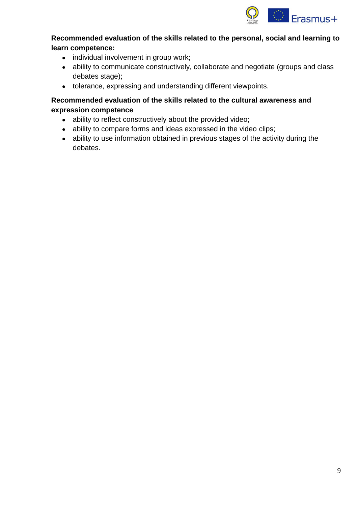

#### **Recommended evaluation of the skills related to the personal, social and learning to learn competence:**

- individual involvement in group work;
- ability to communicate constructively, collaborate and negotiate (groups and class debates stage);
- tolerance, expressing and understanding different viewpoints.

#### **Recommended evaluation of the skills related to the cultural awareness and expression competence**

- ability to reflect constructively about the provided video;
- ability to compare forms and ideas expressed in the video clips;
- ability to use information obtained in previous stages of the activity during the debates.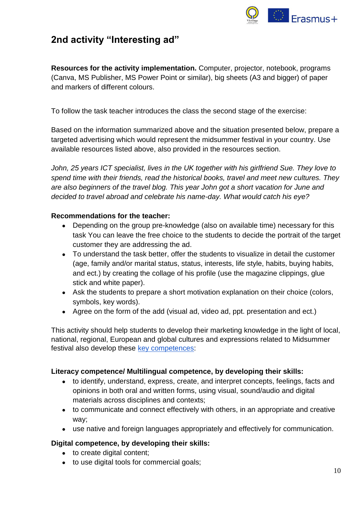

### <span id="page-9-0"></span>**2nd activity "Interesting ad"**

**Resources for the activity implementation.** Computer, projector, notebook, programs (Canva, MS Publisher, MS Power Point or similar), big sheets (A3 and bigger) of paper and markers of different colours.

To follow the task teacher introduces the class the second stage of the exercise:

Based on the information summarized above and the situation presented below, prepare a targeted advertising which would represent the midsummer festival in your country. Use available resources listed above, also provided in the resources section.

*John, 25 years ICT specialist, lives in the UK together with his girlfriend Sue. They love to spend time with their friends, read the historical books, travel and meet new cultures. They are also beginners of the travel blog. This year John got a short vacation for June and decided to travel abroad and celebrate his name-day. What would catch his eye?*

#### **Recommendations for the teacher:**

- Depending on the group pre-knowledge (also on available time) necessary for this task You can leave the free choice to the students to decide the portrait of the target customer they are addressing the ad.
- To understand the task better, offer the students to visualize in detail the customer (age, family and/or marital status, status, interests, life style, habits, buying habits, and ect.) by creating the collage of his profile (use the magazine clippings, glue stick and white paper).
- Ask the students to prepare a short motivation explanation on their choice (colors, symbols, key words).
- Agree on the form of the add (visual ad, video ad, ppt. presentation and ect.)

This activity should help students to develop their marketing knowledge in the light of local, national, regional, European and global cultures and expressions related to Midsummer festival also develop these [key competences:](https://eur-lex.europa.eu/legal-content/EN/TXT/?uri=uriserv:OJ.C_.2018.189.01.0001.01.ENG)

#### **Literacy competence/ Multilingual competence, by developing their skills:**

- to identify, understand, express, create, and interpret concepts, feelings, facts and opinions in both oral and written forms, using visual, sound/audio and digital materials across disciplines and contexts;
- to communicate and connect effectively with others, in an appropriate and creative way;
- use native and foreign languages appropriately and effectively for communication.

#### **Digital competence, by developing their skills:**

- to create digital content;
- to use digital tools for commercial goals;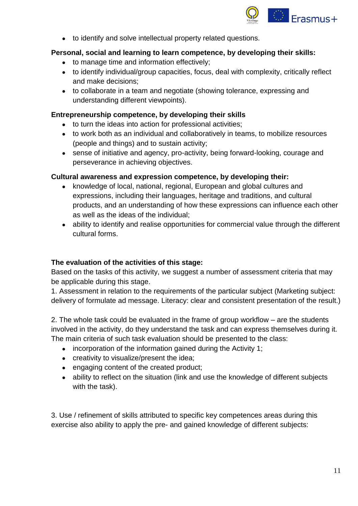

● to identify and solve intellectual property related questions.

#### **Personal, social and learning to learn competence, by developing their skills:**

- to manage time and information effectively;
- to identify individual/group capacities, focus, deal with complexity, critically reflect and make decisions;
- to collaborate in a team and negotiate (showing tolerance, expressing and understanding different viewpoints).

#### **Entrepreneurship competence, by developing their skills**

- to turn the ideas into action for professional activities;
- to work both as an individual and collaboratively in teams, to mobilize resources (people and things) and to sustain activity;
- sense of initiative and agency, pro-activity, being forward-looking, courage and perseverance in achieving objectives.

#### **Cultural awareness and expression competence, by developing their:**

- knowledge of local, national, regional, European and global cultures and expressions, including their languages, heritage and traditions, and cultural products, and an understanding of how these expressions can influence each other as well as the ideas of the individual;
- ability to identify and realise opportunities for commercial value through the different cultural forms.

#### **The evaluation of the activities of this stage:**

Based on the tasks of this activity, we suggest a number of assessment criteria that may be applicable during this stage.

1. Assessment in relation to the requirements of the particular subject (Marketing subject: delivery of formulate ad message. Literacy: clear and consistent presentation of the result.)

2. The whole task could be evaluated in the frame of group workflow – are the students involved in the activity, do they understand the task and can express themselves during it. The main criteria of such task evaluation should be presented to the class:

- $\bullet$  incorporation of the information gained during the Activity 1;
- creativity to visualize/present the idea;
- engaging content of the created product;
- ability to reflect on the situation (link and use the knowledge of different subjects with the task).

3. Use / refinement of skills attributed to specific key competences areas during this exercise also ability to apply the pre- and gained knowledge of different subjects: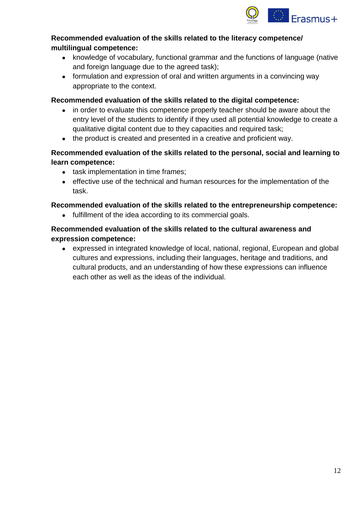

#### **Recommended evaluation of the skills related to the literacy competence/ multilingual competence:**

- knowledge of vocabulary, functional grammar and the functions of language (native and foreign language due to the agreed task);
- formulation and expression of oral and written arguments in a convincing way appropriate to the context.

#### **Recommended evaluation of the skills related to the digital competence:**

- in order to evaluate this competence properly teacher should be aware about the entry level of the students to identify if they used all potential knowledge to create a qualitative digital content due to they capacities and required task;
- the product is created and presented in a creative and proficient way.

#### **Recommended evaluation of the skills related to the personal, social and learning to learn competence:**

- task implementation in time frames;
- effective use of the technical and human resources for the implementation of the task.

#### **Recommended evaluation of the skills related to the entrepreneurship competence:**

● fulfillment of the idea according to its commercial goals.

#### **Recommended evaluation of the skills related to the cultural awareness and expression competence:**

• expressed in integrated knowledge of local, national, regional, European and global cultures and expressions, including their languages, heritage and traditions, and cultural products, and an understanding of how these expressions can influence each other as well as the ideas of the individual.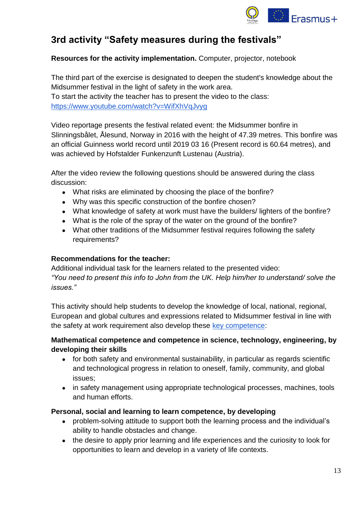

### <span id="page-12-0"></span>**3rd activity "Safety measures during the festivals"**

#### **Resources for the activity implementation.** Computer, projector, notebook

The third part of the exercise is designated to deepen the student's knowledge about the Midsummer festival in the light of safety in the work area. To start the activity the teacher has to present the video to the class: <https://www.youtube.com/watch?v=WifXhVqJvyg>

Video reportage presents the festival related event: the Midsummer bonfire in Slinningsbålet, Ålesund, Norway in 2016 with the height of 47.39 metres. This bonfire was an official Guinness world record until 2019 03 16 (Present record is 60.64 metres), and was achieved by Hofstalder Funkenzunft Lustenau (Austria).

After the video review the following questions should be answered during the class discussion:

- What risks are eliminated by choosing the place of the bonfire?
- Why was this specific construction of the bonfire chosen?
- What knowledge of safety at work must have the builders/ lighters of the bonfire?
- What is the role of the spray of the water on the ground of the bonfire?
- What other traditions of the Midsummer festival requires following the safety requirements?

#### **Recommendations for the teacher:**

Additional individual task for the learners related to the presented video: *"You need to present this info to John from the UK. Help him/her to understand/ solve the issues."*

This activity should help students to develop the knowledge of local, national, regional, European and global cultures and expressions related to Midsummer festival in line with the safety at work requirement also develop these [key competence:](https://eur-lex.europa.eu/legal-content/EN/TXT/?uri=uriserv:OJ.C_.2018.189.01.0001.01.ENG)

#### **Mathematical competence and competence in science, technology, engineering, by developing their skills**

- for both safety and environmental sustainability, in particular as regards scientific and technological progress in relation to oneself, family, community, and global issues;
- in safety management using appropriate technological processes, machines, tools and human efforts.

#### **Personal, social and learning to learn competence, by developing**

- problem-solving attitude to support both the learning process and the individual's ability to handle obstacles and change.
- the desire to apply prior learning and life experiences and the curiosity to look for opportunities to learn and develop in a variety of life contexts.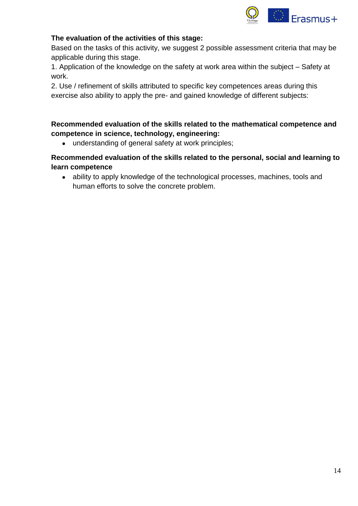

#### **The evaluation of the activities of this stage:**

Based on the tasks of this activity, we suggest 2 possible assessment criteria that may be applicable during this stage.

1. Application of the knowledge on the safety at work area within the subject – Safety at work.

2. Use / refinement of skills attributed to specific key competences areas during this exercise also ability to apply the pre- and gained knowledge of different subjects:

#### **Recommended evaluation of the skills related to the mathematical competence and competence in science, technology, engineering:**

• understanding of general safety at work principles;

#### **Recommended evaluation of the skills related to the personal, social and learning to learn competence**

• ability to apply knowledge of the technological processes, machines, tools and human efforts to solve the concrete problem.